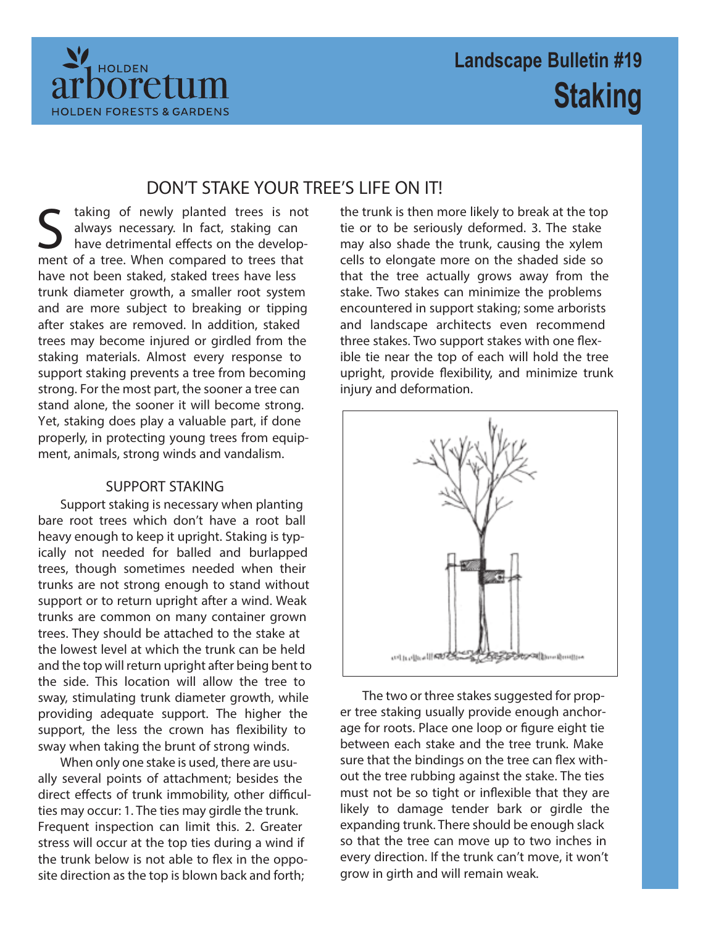

# **DON'T STAKE YOUR TREE'S LIFE ON IT!**

S taking of newly planted trees is no<br>always necessary. In fact, staking can<br>have detrimental effects on the develop<br>ment of a tree. When compared to trees that taking of newly planted trees is not always necessary. In fact, staking can have detrimental effects on the develophave not been staked, staked trees have less trunk diameter growth, a smaller root system and are more subject to breaking or tipping after stakes are removed. In addition, staked trees may become injured or girdled from the staking materials. Almost every response to support staking prevents a tree from becoming strong. For the most part, the sooner a tree can stand alone, the sooner it will become strong. Yet, staking does play a valuable part, if done properly, in protecting young trees from equipment, animals, strong winds and vandalism.

## **SUPPORT STAKING**

Support staking is necessary when planting bare root trees which don't have a root ball heavy enough to keep it upright. Staking is typically not needed for balled and burlapped trees, though sometimes needed when their trunks are not strong enough to stand without support or to return upright after a wind. Weak trunks are common on many container grown trees. They should be attached to the stake at the lowest level at which the trunk can be held and the top will return upright after being bent to the side. This location will allow the tree to sway, stimulating trunk diameter growth, while providing adequate support. The higher the support, the less the crown has flexibility to sway when taking the brunt of strong winds.

When only one stake is used, there are usually several points of attachment; besides the direct effects of trunk immobility, other difficulties may occur: 1. The ties may girdle the trunk. Frequent inspection can limit this. 2. Greater stress will occur at the top ties during a wind if the trunk below is not able to flex in the opposite direction as the top is blown back and forth;

the trunk is then more likely to break at the top tie or to be seriously deformed. 3. The stake may also shade the trunk, causing the xylem cells to elongate more on the shaded side so that the tree actually grows away from the stake. Two stakes can minimize the problems encountered in support staking; some arborists and landscape architects even recommend three stakes. Two support stakes with one flexible tie near the top of each will hold the tree upright, provide flexibility, and minimize trunk injury and deformation.



The two or three stakes suggested for proper tree staking usually provide enough anchorage for roots. Place one loop or figure eight tie between each stake and the tree trunk. Make sure that the bindings on the tree can flex without the tree rubbing against the stake. The ties must not be so tight or inflexible that they are likely to damage tender bark or girdle the expanding trunk. There should be enough slack so that the tree can move up to two inches in every direction. If the trunk can't move, it won't grow in girth and will remain weak.